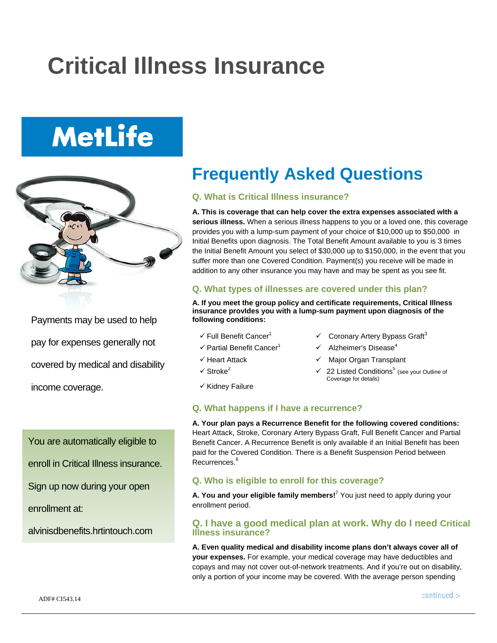## **Critical Illness Insurance**

# **MetLife**



Payments may be used to help pay for expenses generally not covered by medical and disability income coverage.

You are automatically eligible to

- enroll in Critical Illness insurance.
- Sign up now during your open

enrollment at:

alvinisdbenefits.hrtintouch.com

### **Frequently Asked Questions**

#### **Q. What is Critical Illness insurance?**

**A. This is coverage that can help cover the extra expenses associated wIth a serious illness.** When a serious illness happens to you or a loved one, this coverage provides you with a lump-sum payment of your choice of \$10,000 up to \$50,000 in Initial Benefits upon diagnosis. The Total Benefit Amount available to you is 3 times the Initial Benefit Amount you select of \$30,000 up to \$150,000, in the event that you suffer more than one Covered Condition. Payment(s) you receive will be made in addition to any other insurance you may have and may be spent as you see fit.

#### **Q. What types of illnesses are covered under this plan?**

**A. If you meet the group policy and certificate requirements, Critical Illness insurance provIdes you with a lump-sum payment upon diagnosis of the following conditions:** 

- $\checkmark$  Full Benefit Cancer<sup>1</sup>  $\checkmark$  Coronary Artery Bypass Graft<sup>3</sup>
- $\checkmark$  Partial Benefit Cancer<sup>1</sup>  $\checkmark$  Alzheimer's Disease<sup>4</sup>
- $\checkmark$  Heart Attack  $\checkmark$  Major Organ Transplant
- $\checkmark$  Stroke<sup>2</sup>  $\checkmark$  22 Listed Conditions<sup>5</sup> (see your Outline of
- $\checkmark$  Kidnev Failure

#### **Q. What happens if I have a recurrence?**

**A. Your plan pays a Recurrence Benefit for the following covered conditions:**  Heart Attack, Stroke, Coronary Artery Bypass Graft, Full Benefit Cancer and Partial Benefit Cancer. A Recurrence Benefit is only available if an Initial Benefit has been paid for the Covered Condition. There is a Benefit Suspension Period between Recurrences.<sup>6</sup>

Coverage for details)

#### **Q. Who is eligible to enroll for this coverage?**

**A. You and your eligible family members!**<sup>7</sup> You just need to apply during your enrollment period.

#### **Q. I have a good medical plan at work. Why do I need Critical Illness insurance?**

**A. Even quality medical and disability income plans don't always cover all of your expenses.** For example, your medical coverage may have deductibles and copays and may not cover out-of-network treatments. And if you're out on disability, only a portion of your income may be covered. With the average person spending